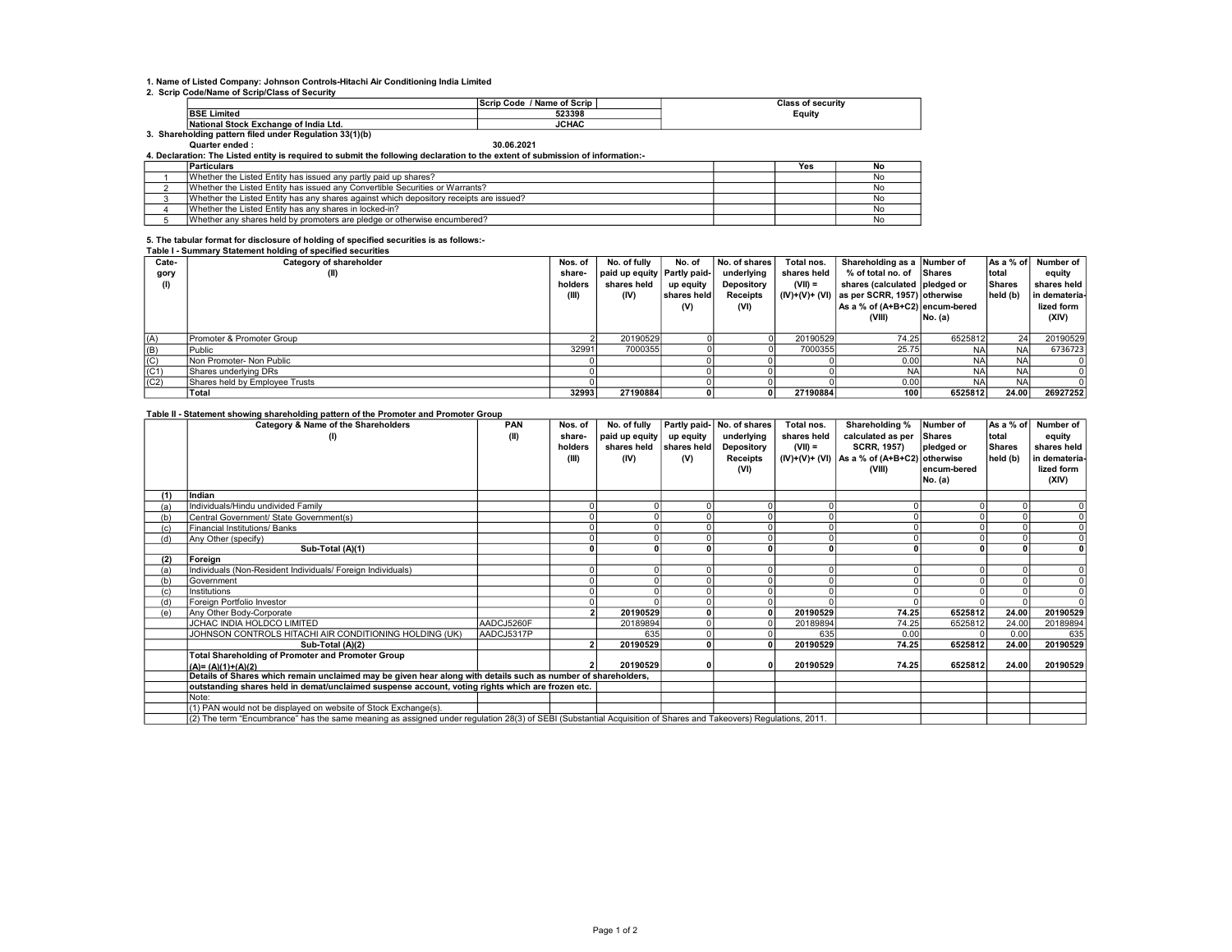# 1. Name of Listed Company: Johnson Controls-Hitachi Air Conditioning India Limited 2. Scrip Code/Name of Scrip/Class of Security

|                                                        | / Name of Scrip<br>Code<br>Scrip | <b>Class of security</b> |
|--------------------------------------------------------|----------------------------------|--------------------------|
| <b>BSE Limited</b>                                     | 523398                           | Equity                   |
| National Stock Exchange of India Ltd.                  | <b>JCHAC</b>                     |                          |
| . Shareholding pattern filed under Regulation 33(1)(b) |                                  |                          |

Quarter ended : 30.06.2021 4. Declaration: The Listed entity is required to submit the following declaration to the extent of submission of information:-

| <b>Particulars</b>                                                                     | Yes | No |
|----------------------------------------------------------------------------------------|-----|----|
| Whether the Listed Entity has issued any partly paid up shares?                        |     | Nc |
| Whether the Listed Entity has issued any Convertible Securities or Warrants?           |     | No |
| Whether the Listed Entity has any shares against which depository receipts are issued? |     | No |
| Whether the Listed Entity has any shares in locked-in?                                 |     | No |
| Whether any shares held by promoters are pledge or otherwise encumbered?               |     | No |

## 5. The tabular format for disclosure of holding of specified securities is as follows:- Table I - Summary Statement holding of specified securities

| Cate- | Category of shareholder        | Nos. of | No. of fully                  | No. of      | No. of shares   | Total nos.  | Shareholding as a Number of                 |           | As a % of | Number of     |
|-------|--------------------------------|---------|-------------------------------|-------------|-----------------|-------------|---------------------------------------------|-----------|-----------|---------------|
| gory  |                                | share-  | paid up equity   Partly paid- |             | underlying      | shares held | % of total no. of Shares                    |           | total     | equity        |
| (1)   |                                | holders | shares held                   | up equity   | Depository      | $(VII) =$   | shares (calculated pledged or               |           | Shares    | shares held I |
|       |                                | (III)   | (IV)                          | shares held | <b>Receipts</b> |             | $(IV)+(V)+(V)$ as per SCRR, 1957) otherwise |           | held (b)  | in demateria- |
|       |                                |         |                               | (V)         | (VI)            |             | As a % of (A+B+C2) encum-bered              |           |           | lized form    |
|       |                                |         |                               |             |                 |             | (VIII)                                      | No. (a)   |           | (XIV)         |
|       |                                |         |                               |             |                 |             |                                             |           |           |               |
| (A)   | Promoter & Promoter Group      |         | 20190529                      |             |                 | 20190529    | 74.25                                       | 6525812   | 24        | 20190529      |
| (B)   | Public                         | 32991   | 7000355                       |             |                 | 7000355     | 25.75                                       | NA        | <b>NA</b> | 6736723       |
| (C)   | Non Promoter- Non Public       |         |                               |             |                 |             | 0.00                                        | <b>NA</b> | <b>NA</b> |               |
| (C1)  | lShares underlving DRs         |         |                               |             |                 |             | <b>NA</b>                                   | <b>NA</b> | <b>NA</b> |               |
| (C2)  | Shares held by Employee Trusts |         |                               |             |                 |             | 0.00                                        | NA        | <b>NA</b> |               |
|       | Total                          | 32993   | 27190884                      |             |                 | 27190884    | 100                                         | 6525812   | 24.00     | 26927252      |

### Table II - Statement showing shareholding pattern of the Promoter and Promoter Group

|     | Category & Name of the Shareholders                                                                                                                             | PAN        | Nos. of | No. of fully   |             | Partly paid- No. of shares | Total nos.  | Shareholding %                                   | Number of   | As a % of | Number of      |
|-----|-----------------------------------------------------------------------------------------------------------------------------------------------------------------|------------|---------|----------------|-------------|----------------------------|-------------|--------------------------------------------------|-------------|-----------|----------------|
|     |                                                                                                                                                                 | (II)       | share-  | paid up equity | up equity   | underlying                 | shares held | calculated as per                                | Shares      | total     | equity         |
|     |                                                                                                                                                                 |            | holders | shares held    | shares held | Depository                 | $(VII) =$   | <b>SCRR, 1957)</b>                               | pledged or  | Shares    | shares held    |
|     |                                                                                                                                                                 |            | (III)   | (IV)           | (V)         | <b>Receipts</b>            |             | $(IV)+(V)+(VI)$   As a % of $(A+B+C2)$ otherwise |             | held (b)  | in demateria-  |
|     |                                                                                                                                                                 |            |         |                |             | (VI)                       |             | (VIII)                                           | encum-bered |           | lized form     |
|     |                                                                                                                                                                 |            |         |                |             |                            |             |                                                  | No. (a)     |           | (XIV)          |
| (1) | Indian                                                                                                                                                          |            |         |                |             |                            |             |                                                  |             |           |                |
| (a) | Individuals/Hindu undivided Family                                                                                                                              |            |         |                |             |                            |             |                                                  |             |           |                |
|     | Central Government/ State Government(s)                                                                                                                         |            |         |                |             |                            |             |                                                  |             |           |                |
|     | <b>Financial Institutions/ Banks</b>                                                                                                                            |            |         |                |             |                            |             |                                                  |             |           | $\overline{0}$ |
| (ď  | Any Other (specify)                                                                                                                                             |            |         |                |             |                            |             |                                                  |             |           | $\Omega$       |
|     | Sub-Total (A)(1)                                                                                                                                                |            |         |                |             |                            |             |                                                  |             |           |                |
| (2) | Foreign                                                                                                                                                         |            |         |                |             |                            |             |                                                  |             |           |                |
| (a) | Individuals (Non-Resident Individuals/ Foreign Individuals)                                                                                                     |            |         |                |             |                            | $\Omega$    |                                                  |             |           |                |
| (b' | Government                                                                                                                                                      |            |         |                |             |                            |             |                                                  |             |           | $\Omega$       |
| (c) | Institutions                                                                                                                                                    |            |         |                |             |                            |             |                                                  |             |           | $\Omega$       |
| (d) | Foreign Portfolio Investor                                                                                                                                      |            |         |                |             |                            |             |                                                  |             |           |                |
| (e) | Any Other Body-Corporate                                                                                                                                        |            |         | 20190529       |             |                            | 20190529    | 74.25                                            | 6525812     | 24.00     | 20190529       |
|     | JCHAC INDIA HOLDCO LIMITED                                                                                                                                      | AADCJ5260F |         | 20189894       |             |                            | 20189894    | 74.25                                            | 6525812     | 24.00     | 20189894       |
|     | JOHNSON CONTROLS HITACHI AIR CONDITIONING HOLDING (UK)                                                                                                          | AADCJ5317P |         | 635            |             |                            | 635         | 0.00                                             |             | 0.00      | 635            |
|     | Sub-Total (A)(2)                                                                                                                                                |            |         | 20190529       |             |                            | 20190529    | 74.25                                            | 6525812     | 24.00     | 20190529       |
|     | <b>Total Shareholding of Promoter and Promoter Group</b>                                                                                                        |            |         |                |             |                            |             |                                                  |             |           |                |
|     | $(A) = (A)(1)+(A)(2)$                                                                                                                                           |            |         | 20190529       |             |                            | 20190529    | 74.25                                            | 6525812     | 24.00     | 20190529       |
|     | Details of Shares which remain unclaimed may be given hear along with details such as number of shareholders,                                                   |            |         |                |             |                            |             |                                                  |             |           |                |
|     | outstanding shares held in demat/unclaimed suspense account, voting rights which are frozen etc.                                                                |            |         |                |             |                            |             |                                                  |             |           |                |
|     | Note:                                                                                                                                                           |            |         |                |             |                            |             |                                                  |             |           |                |
|     | (1) PAN would not be displayed on website of Stock Exchange(s).                                                                                                 |            |         |                |             |                            |             |                                                  |             |           |                |
|     | (2) The term "Encumbrance" has the same meaning as assigned under regulation 28(3) of SEBI (Substantial Acquisition of Shares and Takeovers) Regulations, 2011. |            |         |                |             |                            |             |                                                  |             |           |                |